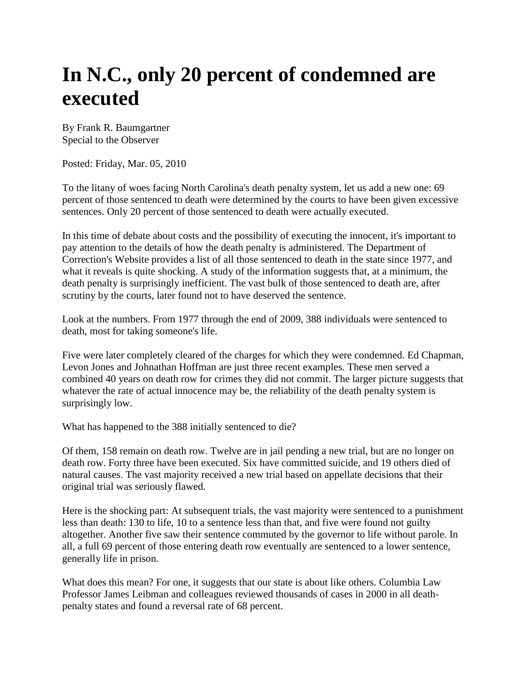## **In N.C., only 20 percent of condemned are executed**

By Frank R. Baumgartner Special to the Observer

Posted: Friday, Mar. 05, 2010

To the litany of woes facing North Carolina's death penalty system, let us add a new one: 69 percent of those sentenced to death were determined by the courts to have been given excessive sentences. Only 20 percent of those sentenced to death were actually executed.

In this time of debate about costs and the possibility of executing the innocent, it's important to pay attention to the details of how the death penalty is administered. The Department of Correction's Website provides a list of all those sentenced to death in the state since 1977, and what it reveals is quite shocking. A study of the information suggests that, at a minimum, the death penalty is surprisingly inefficient. The vast bulk of those sentenced to death are, after scrutiny by the courts, later found not to have deserved the sentence.

Look at the numbers. From 1977 through the end of 2009, 388 individuals were sentenced to death, most for taking someone's life.

Five were later completely cleared of the charges for which they were condemned. Ed Chapman, Levon Jones and Johnathan Hoffman are just three recent examples. These men served a combined 40 years on death row for crimes they did not commit. The larger picture suggests that whatever the rate of actual innocence may be, the reliability of the death penalty system is surprisingly low.

What has happened to the 388 initially sentenced to die?

Of them, 158 remain on death row. Twelve are in jail pending a new trial, but are no longer on death row. Forty three have been executed. Six have committed suicide, and 19 others died of natural causes. The vast majority received a new trial based on appellate decisions that their original trial was seriously flawed.

Here is the shocking part: At subsequent trials, the vast majority were sentenced to a punishment less than death: 130 to life, 10 to a sentence less than that, and five were found not guilty altogether. Another five saw their sentence commuted by the governor to life without parole. In all, a full 69 percent of those entering death row eventually are sentenced to a lower sentence, generally life in prison.

What does this mean? For one, it suggests that our state is about like others. Columbia Law Professor James Leibman and colleagues reviewed thousands of cases in 2000 in all deathpenalty states and found a reversal rate of 68 percent.